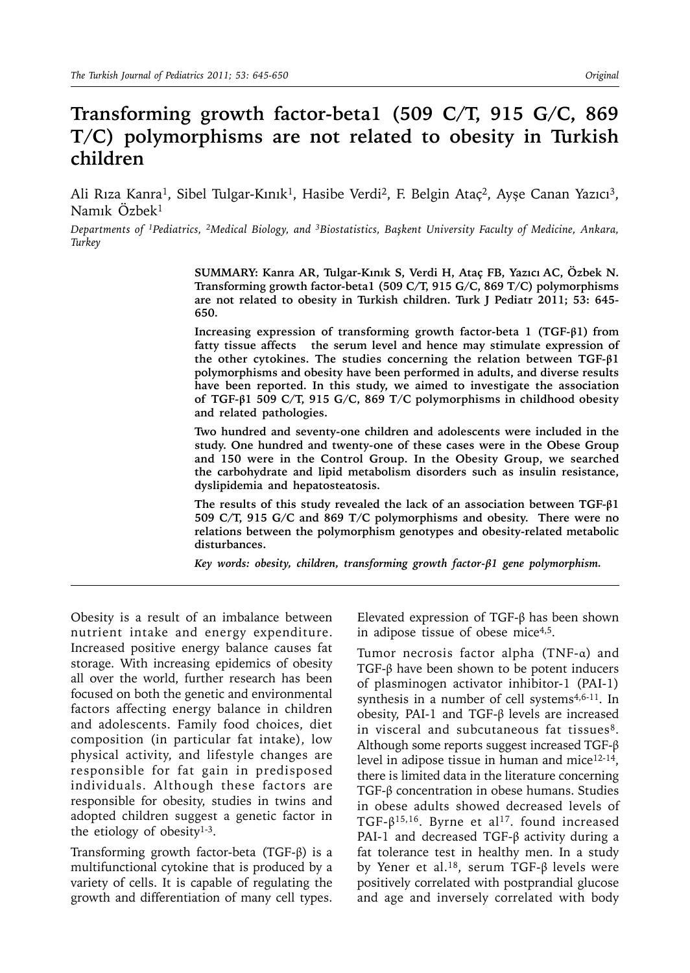# **Transforming growth factor-beta1 (509 C/T, 915 G/C, 869 T/C) polymorphisms are not related to obesity in Turkish children**

Ali Rıza Kanra<sup>1</sup>, Sibel Tulgar-Kınık<sup>1</sup>, Hasibe Verdi<sup>2</sup>, F. Belgin Ataç<sup>2</sup>, Ayşe Canan Yazıcı<sup>3</sup>, Namık Özbek1

*Departments of 1Pediatrics, 2Medical Biology, and 3Biostatistics, Başkent University Faculty of Medicine, Ankara, Turkey*

> **SUMMARY: Kanra AR, Tulgar-Kınık S, Verdi H, Ataç FB, Yazıcı AC, Özbek N. Transforming growth factor-beta1 (509 C/T, 915 G/C, 869 T/C) polymorphisms are not related to obesity in Turkish children. Turk J Pediatr 2011; 53: 645- 650.**

> **Increasing expression of transforming growth factor-beta 1 (TGF-β1) from fatty tissue affects the serum level and hence may stimulate expression of the other cytokines. The studies concerning the relation between TGF-β1 polymorphisms and obesity have been performed in adults, and diverse results have been reported. In this study, we aimed to investigate the association of TGF-β1 509 C/T, 915 G/C, 869 T/C polymorphisms in childhood obesity and related pathologies.**

> **Two hundred and seventy-one children and adolescents were included in the study. One hundred and twenty-one of these cases were in the Obese Group and 150 were in the Control Group. In the Obesity Group, we searched the carbohydrate and lipid metabolism disorders such as insulin resistance, dyslipidemia and hepatosteatosis.**

> **The results of this study revealed the lack of an association between TGF-β1 509 C/T, 915 G/C and 869 T/C polymorphisms and obesity. There were no relations between the polymorphism genotypes and obesity-related metabolic disturbances.**

*Key words: obesity, children, transforming growth factor-β1 gene polymorphism.*

Obesity is a result of an imbalance between nutrient intake and energy expenditure. Increased positive energy balance causes fat storage. With increasing epidemics of obesity all over the world, further research has been focused on both the genetic and environmental factors affecting energy balance in children and adolescents. Family food choices, diet composition (in particular fat intake), low physical activity, and lifestyle changes are responsible for fat gain in predisposed individuals. Although these factors are responsible for obesity, studies in twins and adopted children suggest a genetic factor in the etiology of obesity $1-3$ .

Transforming growth factor-beta (TGF-β) is a multifunctional cytokine that is produced by a variety of cells. It is capable of regulating the growth and differentiation of many cell types. Elevated expression of TGF-β has been shown in adipose tissue of obese mice4,5.

Tumor necrosis factor alpha (TNF-α) and TGF-β have been shown to be potent inducers of plasminogen activator inhibitor-1 (PAI-1) synthesis in a number of cell systems<sup>4,6-11</sup>. In obesity, PAI-1 and TGF-β levels are increased in visceral and subcutaneous fat tissues<sup>8</sup>. Although some reports suggest increased TGF-β level in adipose tissue in human and mice<sup>12-14</sup>, there is limited data in the literature concerning TGF-β concentration in obese humans. Studies in obese adults showed decreased levels of TGF- $\beta$ <sup>15,16</sup>. Byrne et al<sup>17</sup>. found increased PAI-1 and decreased TGF-β activity during a fat tolerance test in healthy men. In a study by Yener et al.18, serum TGF-β levels were positively correlated with postprandial glucose and age and inversely correlated with body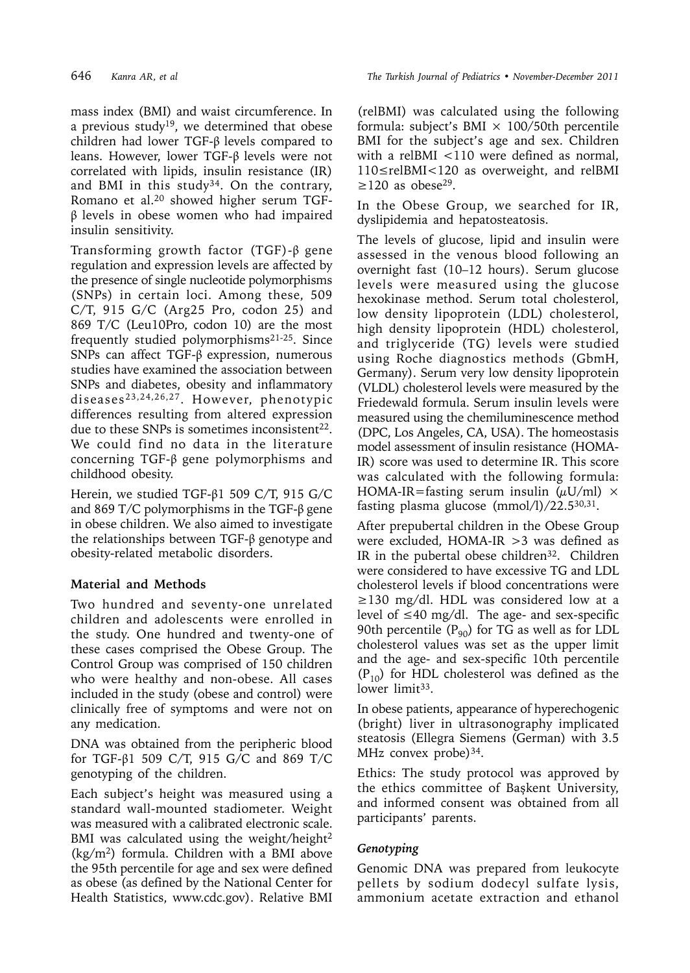mass index (BMI) and waist circumference. In a previous study<sup>19</sup>, we determined that obese children had lower TGF-β levels compared to leans. However, lower TGF-β levels were not correlated with lipids, insulin resistance (IR) and BMI in this study<sup>34</sup>. On the contrary, Romano et al.20 showed higher serum TGFβ levels in obese women who had impaired insulin sensitivity.

Transforming growth factor (TGF)-β gene regulation and expression levels are affected by the presence of single nucleotide polymorphisms (SNPs) in certain loci. Among these, 509 C/T, 915 G/C (Arg25 Pro, codon 25) and 869 T/C (Leu10Pro, codon 10) are the most frequently studied polymorphisms21-25. Since SNPs can affect TGF-β expression, numerous studies have examined the association between SNPs and diabetes, obesity and inflammatory diseases23,24,26,27. However, phenotypic differences resulting from altered expression due to these SNPs is sometimes inconsistent<sup>22</sup>. We could find no data in the literature concerning TGF-β gene polymorphisms and childhood obesity.

Herein, we studied TGF-β1 509 C/T, 915 G/C and 869 T/C polymorphisms in the TGF-β gene in obese children. We also aimed to investigate the relationships between TGF-β genotype and obesity-related metabolic disorders.

## **Material and Methods**

Two hundred and seventy-one unrelated children and adolescents were enrolled in the study. One hundred and twenty-one of these cases comprised the Obese Group. The Control Group was comprised of 150 children who were healthy and non-obese. All cases included in the study (obese and control) were clinically free of symptoms and were not on any medication.

DNA was obtained from the peripheric blood for TGF-β1 509 C/T, 915 G/C and 869 T/C genotyping of the children.

Each subject's height was measured using a standard wall-mounted stadiometer. Weight was measured with a calibrated electronic scale. BMI was calculated using the weight/height $^2$ (kg/m2) formula. Children with a BMI above the 95th percentile for age and sex were defined as obese (as defined by the National Center for Health Statistics, www.cdc.gov). Relative BMI (relBMI) was calculated using the following formula: subject's BMI  $\times$  100/50th percentile BMI for the subject's age and sex. Children with a relBMI <110 were defined as normal, 110≤relBMI<120 as overweight, and relBMI  $\geq$ 120 as obese<sup>29</sup>.

In the Obese Group, we searched for IR, dyslipidemia and hepatosteatosis.

The levels of glucose, lipid and insulin were assessed in the venous blood following an overnight fast (10–12 hours). Serum glucose levels were measured using the glucose hexokinase method. Serum total cholesterol, low density lipoprotein (LDL) cholesterol, high density lipoprotein (HDL) cholesterol, and triglyceride (TG) levels were studied using Roche diagnostics methods (GbmH, Germany). Serum very low density lipoprotein (VLDL) cholesterol levels were measured by the Friedewald formula. Serum insulin levels were measured using the chemiluminescence method (DPC, Los Angeles, CA, USA). The homeostasis model assessment of insulin resistance (HOMA-IR) score was used to determine IR. This score was calculated with the following formula: HOMA-IR=fasting serum insulin  $(\mu U/ml) \times$ fasting plasma glucose  $(mmol/l)/22.5^{30,31}$ .

After prepubertal children in the Obese Group were excluded, HOMA-IR >3 was defined as IR in the pubertal obese children $32$ . Children were considered to have excessive TG and LDL cholesterol levels if blood concentrations were ≥130 mg/dl. HDL was considered low at a level of  $\leq 40$  mg/dl. The age- and sex-specific 90th percentile  $(P_{90})$  for TG as well as for LDL cholesterol values was set as the upper limit and the age- and sex-specific 10th percentile  $(P_{10})$  for HDL cholesterol was defined as the lower limit<sup>33</sup>.

In obese patients, appearance of hyperechogenic (bright) liver in ultrasonography implicated steatosis (Ellegra Siemens (German) with 3.5 MHz convex probe)<sup>34</sup>.

Ethics: The study protocol was approved by the ethics committee of Başkent University, and informed consent was obtained from all participants' parents.

# *Genotyping*

Genomic DNA was prepared from leukocyte pellets by sodium dodecyl sulfate lysis, ammonium acetate extraction and ethanol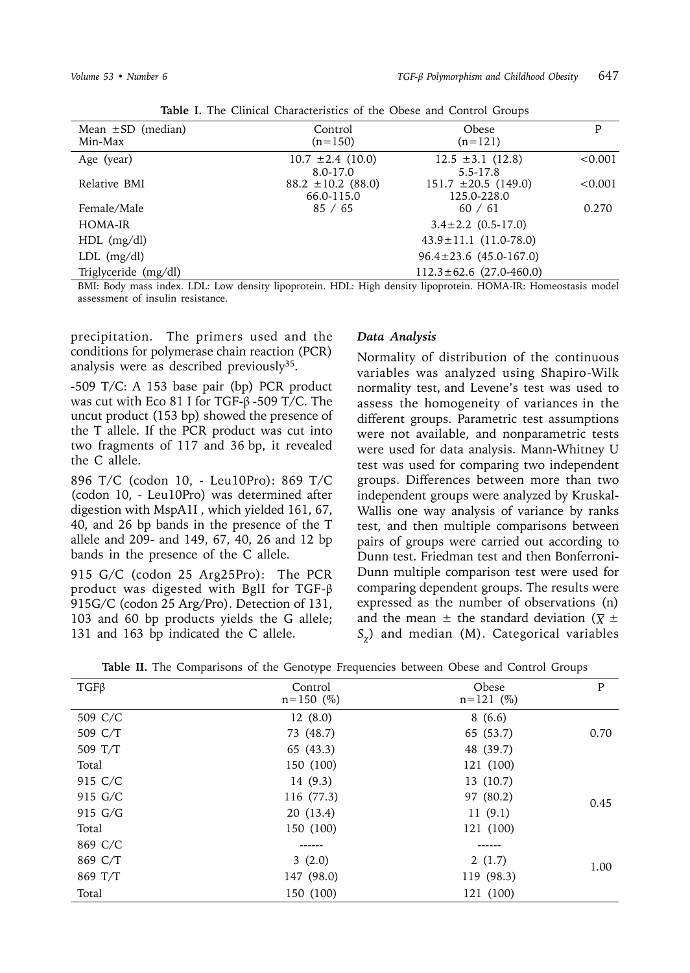| Mean $\pm SD$ (median)<br>Min-Max       | Control<br>$(n=150)$                 | Obese<br>$(n=121)$                                                                                                                                                                                                                                                                                                                                            | P              |
|-----------------------------------------|--------------------------------------|---------------------------------------------------------------------------------------------------------------------------------------------------------------------------------------------------------------------------------------------------------------------------------------------------------------------------------------------------------------|----------------|
| Age (year)                              | $10.7 \pm 2.4$ (10.0)<br>8.0-17.0    | $12.5 \pm 3.1$ (12.8)<br>$5.5 - 17.8$                                                                                                                                                                                                                                                                                                                         | < 0.001        |
| Relative BMI                            | $88.2 \pm 10.2$ (88.0)<br>66.0-115.0 | $151.7 \pm 20.5$ (149.0)<br>125.0-228.0                                                                                                                                                                                                                                                                                                                       | < 0.001        |
| Female/Male                             | 85 / 65                              | 60 / 61                                                                                                                                                                                                                                                                                                                                                       | 0.270          |
| HOMA-IR                                 |                                      | $3.4 \pm 2.2$ (0.5-17.0)                                                                                                                                                                                                                                                                                                                                      |                |
| $HDL$ (mg/dl)                           |                                      | $43.9 \pm 11.1$ (11.0-78.0)                                                                                                                                                                                                                                                                                                                                   |                |
| $LDL$ (mg/dl)                           |                                      | $96.4 \pm 23.6$ (45.0-167.0)                                                                                                                                                                                                                                                                                                                                  |                |
| Triglyceride (mg/dl)                    |                                      | $112.3 \pm 62.6$ (27.0-460.0)                                                                                                                                                                                                                                                                                                                                 |                |
| $\mathbf{1}$<br>T T T T<br>$\mathbf{m}$ | $\cdot$ $\cdot$ $\cdot$              | $\cdot$ $\cdot$ $\cdot$<br>$\mathbf{r}$ $\mathbf{r}$ $\mathbf{r}$ $\mathbf{r}$ $\mathbf{r}$ $\mathbf{r}$ $\mathbf{r}$ $\mathbf{r}$ $\mathbf{r}$ $\mathbf{r}$ $\mathbf{r}$ $\mathbf{r}$ $\mathbf{r}$ $\mathbf{r}$ $\mathbf{r}$ $\mathbf{r}$ $\mathbf{r}$ $\mathbf{r}$ $\mathbf{r}$ $\mathbf{r}$ $\mathbf{r}$ $\mathbf{r}$ $\mathbf{r}$ $\mathbf{r}$ $\mathbf{$ | 1 <sub>1</sub> |

| Table I. The Clinical Characteristics of the Obese and Control Groups |  |
|-----------------------------------------------------------------------|--|
|-----------------------------------------------------------------------|--|

BMI: Body mass index. LDL: Low density lipoprotein. HDL: High density lipoprotein. HOMA-IR: Homeostasis model assessment of insulin resistance.

precipitation. The primers used and the conditions for polymerase chain reaction (PCR) analysis were as described previously $35$ .

-509 T/C: A 153 base pair (bp) PCR product was cut with Eco 81 I for TGF- $\beta$ -509 T/C. The uncut product (153 bp) showed the presence of the T allele. If the PCR product was cut into two fragments of 117 and 36 bp, it revealed the C allele.

896 T/C (codon 10, - Leu10Pro): 869 T/C (codon 10, - Leu10Pro) was determined after digestion with MspA1I , which yielded 161, 67, 40, and 26 bp bands in the presence of the T allele and 209- and 149, 67, 40, 26 and 12 bp bands in the presence of the C allele.

915 G/C (codon 25 Arg25Pro): The PCR product was digested with BglI for TGF-β 915G/C (codon 25 Arg/Pro). Detection of 131, 103 and 60 bp products yields the G allele; 131 and 163 bp indicated the C allele.

#### *Data Analysis*

Normality of distribution of the continuous variables was analyzed using Shapiro-Wilk normality test, and Levene's test was used to assess the homogeneity of variances in the different groups. Parametric test assumptions were not available, and nonparametric tests were used for data analysis. Mann-Whitney U test was used for comparing two independent groups. Differences between more than two independent groups were analyzed by Kruskal-Wallis one way analysis of variance by ranks test, and then multiple comparisons between pairs of groups were carried out according to Dunn test. Friedman test and then Bonferroni-Dunn multiple comparison test were used for comparing dependent groups. The results were expressed as the number of observations (n) and the mean  $\pm$  the standard deviation ( $\overline{\chi}$   $\pm$ *S*) and median (M). Categorical variables

| <b>Table II.</b> The Comparisons of the Genotype Frequencies between Obese and Control Groups |  |
|-----------------------------------------------------------------------------------------------|--|
|-----------------------------------------------------------------------------------------------|--|

| $TGF\beta$ | Control<br>$n = 150$ (%) | Obese<br>$n = 121$ (%) | P    |
|------------|--------------------------|------------------------|------|
| 509 C/C    | 12(8.0)                  | 8(6.6)                 |      |
| 509 C/T    | 73 (48.7)                | 65 (53.7)              | 0.70 |
| 509 T/T    | 65 (43.3)                | 48 (39.7)              |      |
| Total      | 150 (100)                | 121 (100)              |      |
| 915 C/C    | 14 (9.3)                 | 13 (10.7)              |      |
| 915 G/C    | 116 (77.3)               | 97 (80.2)              | 0.45 |
| 915 G/G    | 20 (13.4)                | 11(9.1)                |      |
| Total      | 150 (100)                | 121 (100)              |      |
| 869 C/C    |                          |                        |      |
| 869 C/T    | 3(2.0)                   | 2(1.7)                 | 1.00 |
| 869 T/T    | 147 (98.0)               | 119 (98.3)             |      |
| Total      | 150 (100)                | 121 (100)              |      |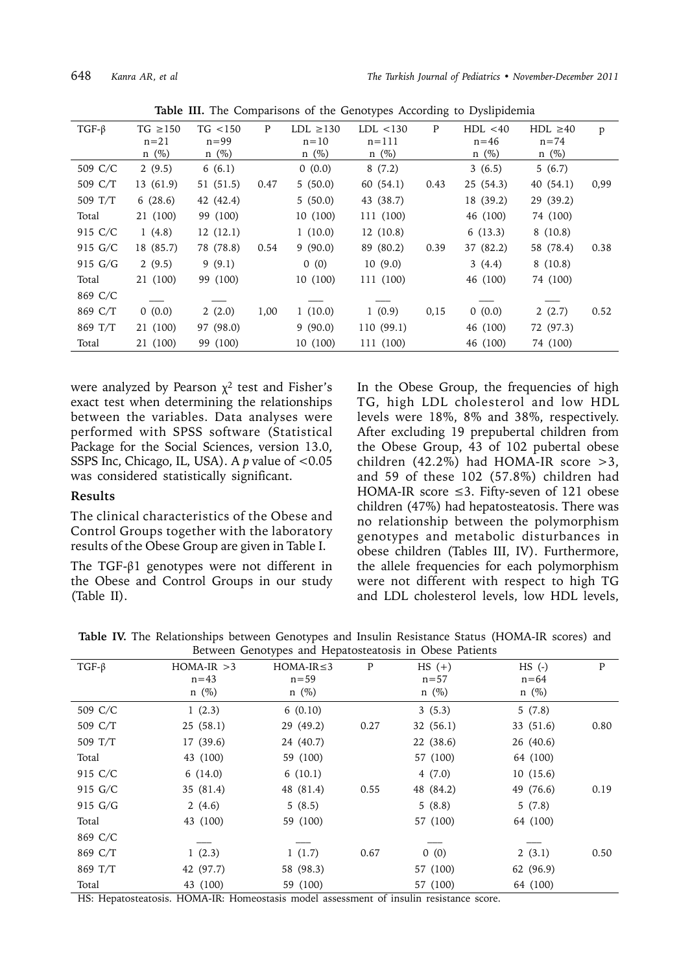|             |               |            | л.   |               | $\sim$ 1   |      |            |               |      |
|-------------|---------------|------------|------|---------------|------------|------|------------|---------------|------|
| $TGF-\beta$ | TG $\geq$ 150 | TG < 150   | P    | $LDL \ge 130$ | LDL < 130  | P    | HDL < 40   | $HDL \geq 40$ | p    |
|             | $n=21$        | $n=99$     |      | $n=10$        | $n = 111$  |      | $n=46$     | $n = 74$      |      |
|             | $n \ (\%)$    | $n \ (\%)$ |      | $n \ (\%)$    | $n \ (\%)$ |      | $n \ (\%)$ | $n \ (\%)$    |      |
| 509 C/C     | 2(9.5)        | 6(6.1)     |      | 0(0.0)        | 8(7.2)     |      | 3(6.5)     | 5(6.7)        |      |
| 509 C/T     | 13(61.9)      | 51(51.5)   | 0.47 | 5(50.0)       | 60 (54.1)  | 0.43 | 25(54.3)   | 40(54.1)      | 0,99 |
| 509 T/T     | 6(28.6)       | 42 (42.4)  |      | 5(50.0)       | 43 (38.7)  |      | 18 (39.2)  | 29 (39.2)     |      |
| Total       | 21 (100)      | 99 (100)   |      | 10(100)       | 111 (100)  |      | 46 (100)   | 74 (100)      |      |
| 915 C/C     | 1(4.8)        | 12(12.1)   |      | 1(10.0)       | 12(10.8)   |      | 6(13.3)    | 8(10.8)       |      |
| 915 G/C     | 18 (85.7)     | 78 (78.8)  | 0.54 | 9(90.0)       | 89 (80.2)  | 0.39 | 37 (82.2)  | 58 (78.4)     | 0.38 |
| 915 G/G     | 2(9.5)        | 9(9.1)     |      | 0(0)          | 10(9.0)    |      | 3(4.4)     | 8(10.8)       |      |
| Total       | 21 (100)      | 99 (100)   |      | 10(100)       | 111 (100)  |      | 46 (100)   | 74 (100)      |      |
| 869 C/C     |               |            |      |               |            |      |            |               |      |
| 869 C/T     | 0(0.0)        | 2(2.0)     | 1,00 | 1(10.0)       | 1(0.9)     | 0,15 | 0(0.0)     | 2(2.7)        | 0.52 |
| 869 T/T     | 21 (100)      | 97 (98.0)  |      | 9(90.0)       | 110(99.1)  |      | 46 (100)   | 72 (97.3)     |      |
| Total       | 21 (100)      | 99 (100)   |      | 10 (100)      | 111 (100)  |      | 46 (100)   | 74 (100)      |      |

**Table III.** The Comparisons of the Genotypes According to Dyslipidemia

were analyzed by Pearson  $x^2$  test and Fisher's exact test when determining the relationships between the variables. Data analyses were performed with SPSS software (Statistical Package for the Social Sciences, version 13.0, SSPS Inc, Chicago, IL, USA). A *p* value of <0.05 was considered statistically significant.

### **Results**

The clinical characteristics of the Obese and Control Groups together with the laboratory results of the Obese Group are given in Table I.

The TGF-β1 genotypes were not different in the Obese and Control Groups in our study (Table II).

In the Obese Group, the frequencies of high TG, high LDL cholesterol and low HDL levels were 18%, 8% and 38%, respectively. After excluding 19 prepubertal children from the Obese Group, 43 of 102 pubertal obese children (42.2%) had HOMA-IR score >3, and 59 of these 102 (57.8%) children had HOMA-IR score ≤3. Fifty-seven of 121 obese children (47%) had hepatosteatosis. There was no relationship between the polymorphism genotypes and metabolic disturbances in obese children (Tables III, IV). Furthermore, the allele frequencies for each polymorphism were not different with respect to high TG and LDL cholesterol levels, low HDL levels,

|  | Table IV. The Relationships between Genotypes and Insulin Resistance Status (HOMA-IR scores) and |                                                         |  |  |  |  |
|--|--------------------------------------------------------------------------------------------------|---------------------------------------------------------|--|--|--|--|
|  |                                                                                                  | Between Genotypes and Hepatosteatosis in Obese Patients |  |  |  |  |

| $TGF-\beta$ | $HOMA-IR > 3$<br>$n = 43$ | $HOMA-IR \leq 3$<br>$n = 59$ | P    | $HS (+)$<br>$n = 57$ | $HS$ (-)<br>$n = 64$ | $\mathbf{P}$ |
|-------------|---------------------------|------------------------------|------|----------------------|----------------------|--------------|
|             | $n \ (\%)$                | $n \ (\%)$                   |      | $n \ (\%)$           | $n \ (\%)$           |              |
| 509 C/C     | 1(2.3)                    | 6(0.10)                      |      | 3(5.3)               | 5(7.8)               |              |
| 509 C/T     | 25(58.1)                  | 29 (49.2)                    | 0.27 | 32(56.1)             | 33 (51.6)            | 0.80         |
| 509 T/T     | 17(39.6)                  | 24 (40.7)                    |      | 22 (38.6)            | 26 (40.6)            |              |
| Total       | 43 (100)                  | 59 (100)                     |      | 57 (100)             | 64 (100)             |              |
| 915 C/C     | 6(14.0)                   | 6(10.1)                      |      | 4(7.0)               | 10(15.6)             |              |
| 915 G/C     | 35 (81.4)                 | 48 (81.4)                    | 0.55 | 48 (84.2)            | 49 (76.6)            | 0.19         |
| 915 G/G     | 2(4.6)                    | 5(8.5)                       |      | 5(8.8)               | 5(7.8)               |              |
| Total       | 43 (100)                  | 59 (100)                     |      | 57 (100)             | 64 (100)             |              |
| 869 C/C     |                           |                              |      |                      |                      |              |
| 869 C/T     | 1(2.3)                    | 1(1.7)                       | 0.67 | 0(0)                 | 2(3.1)               | 0.50         |
| 869 T/T     | 42 (97.7)                 | 58 (98.3)                    |      | 57 (100)             | 62 (96.9)            |              |
| Total       | 43 (100)                  | 59 (100)                     |      | 57 (100)             | 64 (100)             |              |

HS: Hepatosteatosis. HOMA-IR: Homeostasis model assessment of insulin resistance score.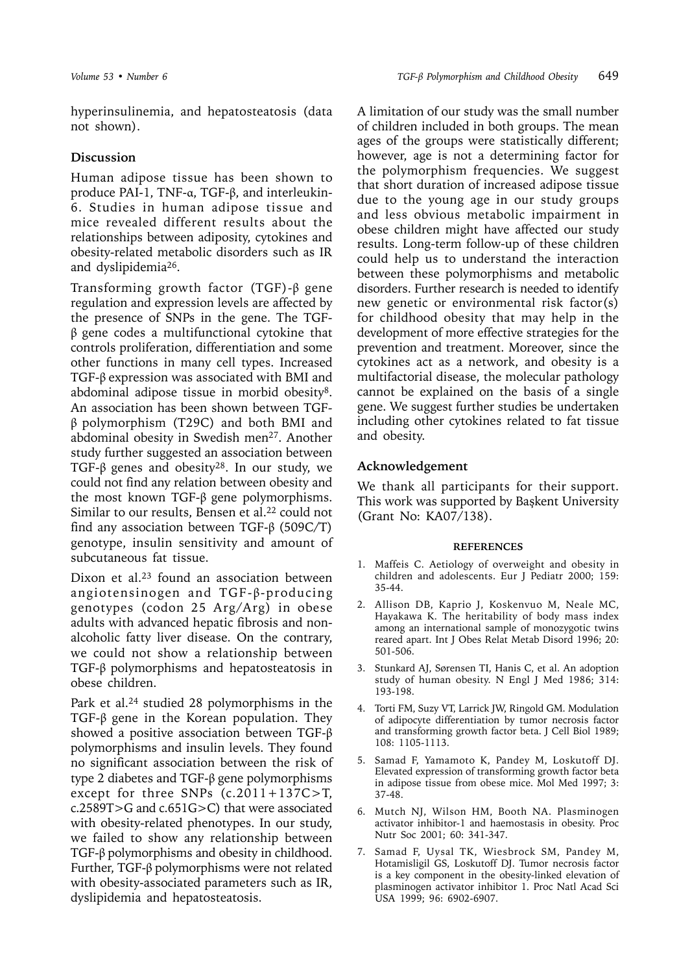hyperinsulinemia, and hepatosteatosis (data not shown).

### **Discussion**

Human adipose tissue has been shown to produce PAI-1, TNF-α, TGF-β, and interleukin-6. Studies in human adipose tissue and mice revealed different results about the relationships between adiposity, cytokines and obesity-related metabolic disorders such as IR and dyslipidemia26.

Transforming growth factor (TGF)-β gene regulation and expression levels are affected by the presence of SNPs in the gene. The TGFβ gene codes a multifunctional cytokine that controls proliferation, differentiation and some other functions in many cell types. Increased TGF-β expression was associated with BMI and abdominal adipose tissue in morbid obesity8. An association has been shown between TGFβ polymorphism (T29C) and both BMI and abdominal obesity in Swedish men<sup>27</sup>. Another study further suggested an association between TGF- $\beta$  genes and obesity<sup>28</sup>. In our study, we could not find any relation between obesity and the most known TGF-β gene polymorphisms. Similar to our results, Bensen et al.<sup>22</sup> could not find any association between TGF- $\beta$  (509C/T) genotype, insulin sensitivity and amount of subcutaneous fat tissue.

Dixon et al.<sup>23</sup> found an association between angiotensinogen and TGF-β-producing genotypes (codon 25 Arg/Arg) in obese adults with advanced hepatic fibrosis and nonalcoholic fatty liver disease. On the contrary, we could not show a relationship between TGF-β polymorphisms and hepatosteatosis in obese children.

Park et al.<sup>24</sup> studied 28 polymorphisms in the TGF-β gene in the Korean population. They showed a positive association between TGF-β polymorphisms and insulin levels. They found no significant association between the risk of type 2 diabetes and TGF-β gene polymorphisms except for three SNPs  $(c.2011+137C>T$ , c.2589T>G and c.651G>C) that were associated with obesity-related phenotypes. In our study, we failed to show any relationship between TGF-β polymorphisms and obesity in childhood. Further, TGF-β polymorphisms were not related with obesity-associated parameters such as IR, dyslipidemia and hepatosteatosis.

A limitation of our study was the small number of children included in both groups. The mean ages of the groups were statistically different; however, age is not a determining factor for the polymorphism frequencies. We suggest that short duration of increased adipose tissue due to the young age in our study groups and less obvious metabolic impairment in obese children might have affected our study results. Long-term follow-up of these children could help us to understand the interaction between these polymorphisms and metabolic disorders. Further research is needed to identify new genetic or environmental risk factor(s) for childhood obesity that may help in the development of more effective strategies for the prevention and treatment. Moreover, since the cytokines act as a network, and obesity is a multifactorial disease, the molecular pathology cannot be explained on the basis of a single gene. We suggest further studies be undertaken including other cytokines related to fat tissue and obesity.

## **Acknowledgement**

We thank all participants for their support. This work was supported by Başkent University (Grant No: KA07/138).

#### **REFERENCES**

- 1. Maffeis C. Aetiology of overweight and obesity in children and adolescents. Eur J Pediatr 2000; 159: 35-44.
- 2. Allison DB, Kaprio J, Koskenvuo M, Neale MC, Hayakawa K. The heritability of body mass index among an international sample of monozygotic twins reared apart. Int J Obes Relat Metab Disord 1996; 20: 501-506.
- 3. Stunkard AJ, Sørensen TI, Hanis C, et al. An adoption study of human obesity. N Engl J Med 1986; 314: 193-198.
- 4. Torti FM, Suzy VT, Larrick JW, Ringold GM. Modulation of adipocyte differentiation by tumor necrosis factor and transforming growth factor beta. J Cell Biol 1989; 108: 1105-1113.
- 5. Samad F, Yamamoto K, Pandey M, Loskutoff DJ. Elevated expression of transforming growth factor beta in adipose tissue from obese mice. Mol Med 1997; 3: 37-48.
- 6. Mutch NJ, Wilson HM, Booth NA. Plasminogen activator inhibitor-1 and haemostasis in obesity. Proc Nutr Soc 2001; 60: 341-347.
- 7. Samad F, Uysal TK, Wiesbrock SM, Pandey M, Hotamisligil GS, Loskutoff DJ. Tumor necrosis factor is a key component in the obesity-linked elevation of plasminogen activator inhibitor 1. Proc Natl Acad Sci USA 1999; 96: 6902-6907.